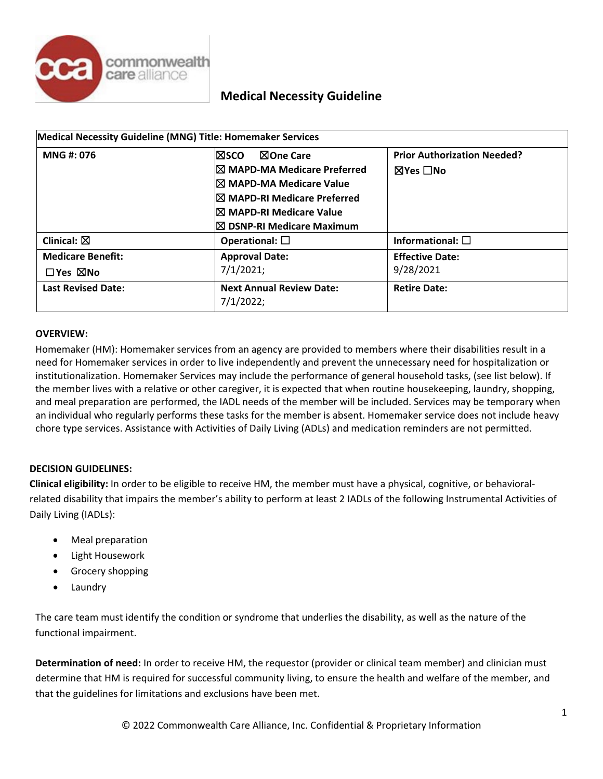

|                           | Medical Necessity Guideline (MNG) Title: Homemaker Services |                                    |
|---------------------------|-------------------------------------------------------------|------------------------------------|
| MNG #: 076                | <b>NOne Care</b><br>l⊠sco                                   | <b>Prior Authorization Needed?</b> |
|                           | $\boxtimes$ MAPD-MA Medicare Preferred                      | ⊠Yes □No                           |
|                           | I⊠ MAPD-MA Medicare Value                                   |                                    |
|                           | $\boxtimes$ MAPD-RI Medicare Preferred                      |                                    |
|                           | I⊠ MAPD-RI Medicare Value                                   |                                    |
|                           | $\boxtimes$ DSNP-RI Medicare Maximum                        |                                    |
| Clinical: $\boxtimes$     | Operational: $\square$                                      | Informational: $\square$           |
| <b>Medicare Benefit:</b>  | <b>Approval Date:</b>                                       | <b>Effective Date:</b>             |
| $\Box$ Yes $\boxtimes$ No | 7/1/2021;                                                   | 9/28/2021                          |
| <b>Last Revised Date:</b> | <b>Next Annual Review Date:</b><br>7/1/2022;                | <b>Retire Date:</b>                |

#### **OVERVIEW:**

Homemaker (HM): Homemaker services from an agency are provided to members where their disabilities result in a need for Homemaker services in order to live independently and prevent the unnecessary need for hospitalization or institutionalization. Homemaker Services may include the performance of general household tasks, (see list below). If the member lives with a relative or other caregiver, it is expected that when routine housekeeping, laundry, shopping, and meal preparation are performed, the IADL needs of the member will be included. Services may be temporary when an individual who regularly performs these tasks for the member is absent. Homemaker service does not include heavy chore type services. Assistance with Activities of Daily Living (ADLs) and medication reminders are not permitted.

#### **DECISION GUIDELINES:**

**Clinical eligibility:** In order to be eligible to receive HM, the member must have a physical, cognitive, or behavioralrelated disability that impairs the member's ability to perform at least 2 IADLs of the following Instrumental Activities of Daily Living (IADLs):

- Meal preparation
- Light Housework
- Grocery shopping
- **Laundry**

The care team must identify the condition or syndrome that underlies the disability, as well as the nature of the functional impairment.

**Determination of need:** In order to receive HM, the requestor (provider or clinical team member) and clinician must determine that HM is required for successful community living, to ensure the health and welfare of the member, and that the guidelines for limitations and exclusions have been met.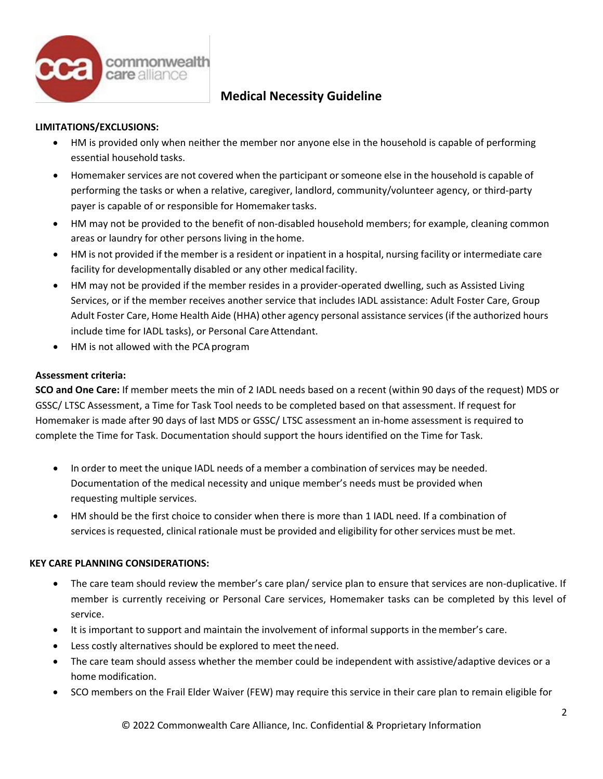

### **LIMITATIONS/EXCLUSIONS:**

- HM is provided only when neither the member nor anyone else in the household is capable of performing essential household tasks.
- Homemaker services are not covered when the participant or someone else in the household is capable of performing the tasks or when a relative, caregiver, landlord, community/volunteer agency, or third-party payer is capable of or responsible for Homemaker tasks.
- HM may not be provided to the benefit of non-disabled household members; for example, cleaning common areas or laundry for other persons living in the home.
- HM is not provided if the member is a resident or inpatient in a hospital, nursing facility or intermediate care facility for developmentally disabled or any other medical facility.
- HM may not be provided if the member resides in a provider-operated dwelling, such as Assisted Living Services, or if the member receives another service that includes IADL assistance: Adult Foster Care, Group Adult Foster Care, Home Health Aide (HHA) other agency personal assistance services(if the authorized hours include time for IADL tasks), or Personal Care Attendant.
- HM is not allowed with the PCA program

#### **Assessment criteria:**

**SCO and One Care:** If member meets the min of 2 IADL needs based on a recent (within 90 days of the request) MDS or GSSC/ LTSC Assessment, a Time for Task Tool needs to be completed based on that assessment. If request for Homemaker is made after 90 days of last MDS or GSSC/ LTSC assessment an in-home assessment is required to complete the Time for Task. Documentation should support the hours identified on the Time for Task.

- In order to meet the unique IADL needs of a member a combination of services may be needed. Documentation of the medical necessity and unique member's needs must be provided when requesting multiple services.
- HM should be the first choice to consider when there is more than 1 IADL need. If a combination of services is requested, clinical rationale must be provided and eligibility for other services must be met.

#### **KEY CARE PLANNING CONSIDERATIONS:**

- The care team should review the member's care plan/ service plan to ensure that services are non-duplicative. If member is currently receiving or Personal Care services, Homemaker tasks can be completed by this level of service.
- It is important to support and maintain the involvement of informal supports in the member's care.
- Less costly alternatives should be explored to meet theneed.
- The care team should assess whether the member could be independent with assistive/adaptive devices or a home modification.
- SCO members on the Frail Elder Waiver (FEW) may require this service in their care plan to remain eligible for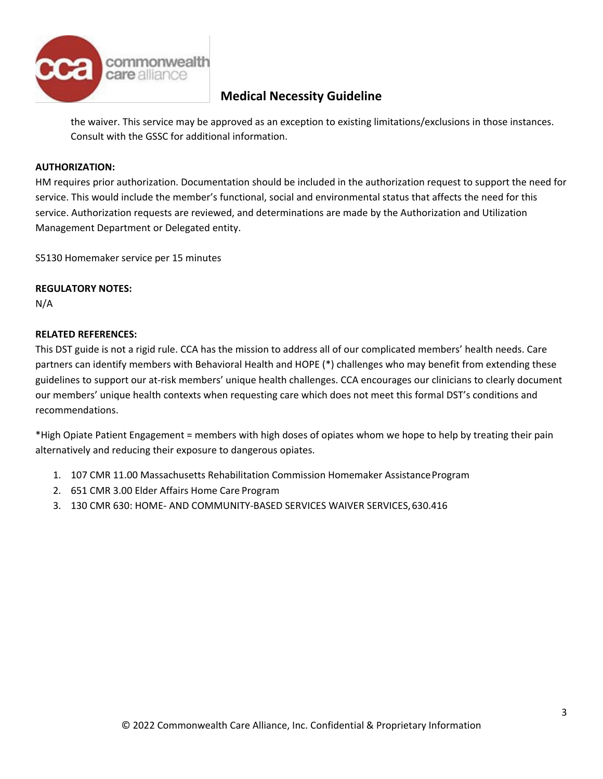

the waiver. This service may be approved as an exception to existing limitations/exclusions in those instances. Consult with the GSSC for additional information.

#### **AUTHORIZATION:**

HM requires prior authorization. Documentation should be included in the authorization request to support the need for service. This would include the member's functional, social and environmental status that affects the need for this service. Authorization requests are reviewed, and determinations are made by the Authorization and Utilization Management Department or Delegated entity.

S5130 Homemaker service per 15 minutes

### **REGULATORY NOTES:**

N/A

### **RELATED REFERENCES:**

This DST guide is not a rigid rule. CCA has the mission to address all of our complicated members' health needs. Care partners can identify members with Behavioral Health and HOPE (\*) challenges who may benefit from extending these guidelines to support our at-risk members' unique health challenges. CCA encourages our clinicians to clearly document our members' unique health contexts when requesting care which does not meet this formal DST's conditions and recommendations.

\*High Opiate Patient Engagement = members with high doses of opiates whom we hope to help by treating their pain alternatively and reducing their exposure to dangerous opiates.

- 1. 107 CMR 11.00 Massachusetts Rehabilitation Commission Homemaker AssistanceProgram
- 2. 651 CMR 3.00 Elder Affairs Home Care Program
- 3. 130 CMR 630: HOME- AND COMMUNITY-BASED SERVICES WAIVER SERVICES,630.416